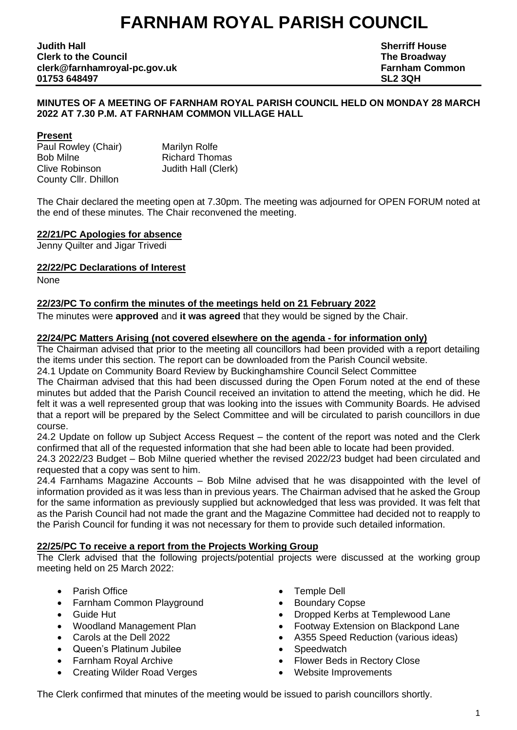# **FARNHAM ROYAL PARISH COUNCIL**

**Judith Hall Sherriff House Clerk to the Council The Broadway clerk@farnhamroyal-pc.gov.uk Farnham Common 01753 648497 SL2 3QH**

#### **MINUTES OF A MEETING OF FARNHAM ROYAL PARISH COUNCIL HELD ON MONDAY 28 MARCH 2022 AT 7.30 P.M. AT FARNHAM COMMON VILLAGE HALL**

#### **Present**

Paul Rowley (Chair) Marilyn Rolfe Bob Milne Richard Thomas Clive Robinson Judith Hall (Clerk) County Cllr. Dhillon

The Chair declared the meeting open at 7.30pm. The meeting was adjourned for OPEN FORUM noted at the end of these minutes. The Chair reconvened the meeting.

# **22/21/PC Apologies for absence**

Jenny Quilter and Jigar Trivedi

#### **22/22/PC Declarations of Interest**

None

# **22/23/PC To confirm the minutes of the meetings held on 21 February 2022**

The minutes were **approved** and **it was agreed** that they would be signed by the Chair.

# **22/24/PC Matters Arising (not covered elsewhere on the agenda - for information only)**

The Chairman advised that prior to the meeting all councillors had been provided with a report detailing the items under this section. The report can be downloaded from the Parish Council website.

24.1 Update on Community Board Review by Buckinghamshire Council Select Committee

The Chairman advised that this had been discussed during the Open Forum noted at the end of these minutes but added that the Parish Council received an invitation to attend the meeting, which he did. He felt it was a well represented group that was looking into the issues with Community Boards. He advised that a report will be prepared by the Select Committee and will be circulated to parish councillors in due course.

24.2 Update on follow up Subject Access Request – the content of the report was noted and the Clerk confirmed that all of the requested information that she had been able to locate had been provided.

24.3 2022/23 Budget – Bob Milne queried whether the revised 2022/23 budget had been circulated and requested that a copy was sent to him.

24.4 Farnhams Magazine Accounts – Bob Milne advised that he was disappointed with the level of information provided as it was less than in previous years. The Chairman advised that he asked the Group for the same information as previously supplied but acknowledged that less was provided. It was felt that as the Parish Council had not made the grant and the Magazine Committee had decided not to reapply to the Parish Council for funding it was not necessary for them to provide such detailed information.

#### **22/25/PC To receive a report from the Projects Working Group**

The Clerk advised that the following projects/potential projects were discussed at the working group meeting held on 25 March 2022:

- 
- Farnham Common Playground Boundary Copse
- 
- 
- 
- Queen's Platinum Jubilee **•** Speedwatch
- 
- Creating Wilder Road Verges Website Improvements
- **Parish Office Temple Dell** 
	-
- Guide Hut Dropped Kerbs at Templewood Lane
	- Woodland Management Plan Footway Extension on Blackpond Lane
	- Carols at the Dell 2022 A355 Speed Reduction (various ideas)
		-
	- Farnham Royal Archive Flower Beds in Rectory Close
		-

The Clerk confirmed that minutes of the meeting would be issued to parish councillors shortly.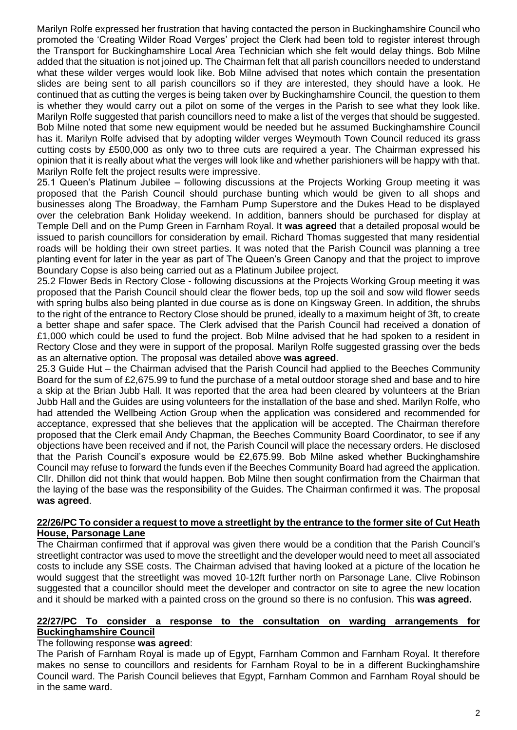Marilyn Rolfe expressed her frustration that having contacted the person in Buckinghamshire Council who promoted the 'Creating Wilder Road Verges' project the Clerk had been told to register interest through the Transport for Buckinghamshire Local Area Technician which she felt would delay things. Bob Milne added that the situation is not joined up. The Chairman felt that all parish councillors needed to understand what these wilder verges would look like. Bob Milne advised that notes which contain the presentation slides are being sent to all parish councillors so if they are interested, they should have a look. He continued that as cutting the verges is being taken over by Buckinghamshire Council, the question to them is whether they would carry out a pilot on some of the verges in the Parish to see what they look like. Marilyn Rolfe suggested that parish councillors need to make a list of the verges that should be suggested. Bob Milne noted that some new equipment would be needed but he assumed Buckinghamshire Council has it. Marilyn Rolfe advised that by adopting wilder verges Weymouth Town Council reduced its grass cutting costs by £500,000 as only two to three cuts are required a year. The Chairman expressed his opinion that it is really about what the verges will look like and whether parishioners will be happy with that. Marilyn Rolfe felt the project results were impressive.

25.1 Queen's Platinum Jubilee – following discussions at the Projects Working Group meeting it was proposed that the Parish Council should purchase bunting which would be given to all shops and businesses along The Broadway, the Farnham Pump Superstore and the Dukes Head to be displayed over the celebration Bank Holiday weekend. In addition, banners should be purchased for display at Temple Dell and on the Pump Green in Farnham Royal. It **was agreed** that a detailed proposal would be issued to parish councillors for consideration by email. Richard Thomas suggested that many residential roads will be holding their own street parties. It was noted that the Parish Council was planning a tree planting event for later in the year as part of The Queen's Green Canopy and that the project to improve Boundary Copse is also being carried out as a Platinum Jubilee project.

25.2 Flower Beds in Rectory Close - following discussions at the Projects Working Group meeting it was proposed that the Parish Council should clear the flower beds, top up the soil and sow wild flower seeds with spring bulbs also being planted in due course as is done on Kingsway Green. In addition, the shrubs to the right of the entrance to Rectory Close should be pruned, ideally to a maximum height of 3ft, to create a better shape and safer space. The Clerk advised that the Parish Council had received a donation of £1,000 which could be used to fund the project. Bob Milne advised that he had spoken to a resident in Rectory Close and they were in support of the proposal. Marilyn Rolfe suggested grassing over the beds as an alternative option. The proposal was detailed above **was agreed**.

25.3 Guide Hut – the Chairman advised that the Parish Council had applied to the Beeches Community Board for the sum of £2,675.99 to fund the purchase of a metal outdoor storage shed and base and to hire a skip at the Brian Jubb Hall. It was reported that the area had been cleared by volunteers at the Brian Jubb Hall and the Guides are using volunteers for the installation of the base and shed. Marilyn Rolfe, who had attended the Wellbeing Action Group when the application was considered and recommended for acceptance, expressed that she believes that the application will be accepted. The Chairman therefore proposed that the Clerk email Andy Chapman, the Beeches Community Board Coordinator, to see if any objections have been received and if not, the Parish Council will place the necessary orders. He disclosed that the Parish Council's exposure would be £2,675.99. Bob Milne asked whether Buckinghamshire Council may refuse to forward the funds even if the Beeches Community Board had agreed the application. Cllr. Dhillon did not think that would happen. Bob Milne then sought confirmation from the Chairman that the laying of the base was the responsibility of the Guides. The Chairman confirmed it was. The proposal **was agreed**.

#### **22/26/PC To consider a request to move a streetlight by the entrance to the former site of Cut Heath House, Parsonage Lane**

The Chairman confirmed that if approval was given there would be a condition that the Parish Council's streetlight contractor was used to move the streetlight and the developer would need to meet all associated costs to include any SSE costs. The Chairman advised that having looked at a picture of the location he would suggest that the streetlight was moved 10-12ft further north on Parsonage Lane. Clive Robinson suggested that a councillor should meet the developer and contractor on site to agree the new location and it should be marked with a painted cross on the ground so there is no confusion. This **was agreed.**

#### **22/27/PC To consider a response to the consultation on warding arrangements for Buckinghamshire Council**

# The following response **was agreed**:

The Parish of Farnham Royal is made up of Egypt, Farnham Common and Farnham Royal. It therefore makes no sense to councillors and residents for Farnham Royal to be in a different Buckinghamshire Council ward. The Parish Council believes that Egypt, Farnham Common and Farnham Royal should be in the same ward.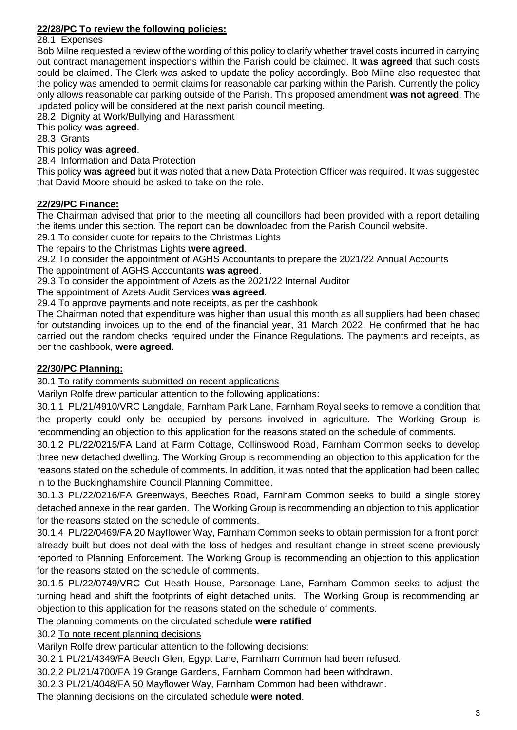# **22/28/PC To review the following policies:**

28.1 Expenses

Bob Milne requested a review of the wording of this policy to clarify whether travel costs incurred in carrying out contract management inspections within the Parish could be claimed. It **was agreed** that such costs could be claimed. The Clerk was asked to update the policy accordingly. Bob Milne also requested that the policy was amended to permit claims for reasonable car parking within the Parish. Currently the policy only allows reasonable car parking outside of the Parish. This proposed amendment **was not agreed**. The updated policy will be considered at the next parish council meeting.

28.2 Dignity at Work/Bullying and Harassment

This policy **was agreed**.

28.3 Grants

# This policy **was agreed**.

28.4 Information and Data Protection

This policy **was agreed** but it was noted that a new Data Protection Officer was required. It was suggested that David Moore should be asked to take on the role.

# **22/29/PC Finance:**

The Chairman advised that prior to the meeting all councillors had been provided with a report detailing the items under this section. The report can be downloaded from the Parish Council website.

29.1 To consider quote for repairs to the Christmas Lights

The repairs to the Christmas Lights **were agreed**.

29.2 To consider the appointment of AGHS Accountants to prepare the 2021/22 Annual Accounts The appointment of AGHS Accountants **was agreed**.

29.3 To consider the appointment of Azets as the 2021/22 Internal Auditor

The appointment of Azets Audit Services **was agreed**.

29.4 To approve payments and note receipts, as per the cashbook

The Chairman noted that expenditure was higher than usual this month as all suppliers had been chased for outstanding invoices up to the end of the financial year, 31 March 2022. He confirmed that he had carried out the random checks required under the Finance Regulations. The payments and receipts, as per the cashbook, **were agreed**.

# **22/30/PC Planning:**

30.1 To ratify comments submitted on recent applications

Marilyn Rolfe drew particular attention to the following applications:

30.1.1 PL/21/4910/VRC Langdale, Farnham Park Lane, Farnham Royal seeks to remove a condition that the property could only be occupied by persons involved in agriculture. The Working Group is recommending an objection to this application for the reasons stated on the schedule of comments.

30.1.2 PL/22/0215/FA Land at Farm Cottage, Collinswood Road, Farnham Common seeks to develop three new detached dwelling. The Working Group is recommending an objection to this application for the reasons stated on the schedule of comments. In addition, it was noted that the application had been called in to the Buckinghamshire Council Planning Committee.

30.1.3 PL/22/0216/FA Greenways, Beeches Road, Farnham Common seeks to build a single storey detached annexe in the rear garden. The Working Group is recommending an objection to this application for the reasons stated on the schedule of comments.

30.1.4 PL/22/0469/FA 20 Mayflower Way, Farnham Common seeks to obtain permission for a front porch already built but does not deal with the loss of hedges and resultant change in street scene previously reported to Planning Enforcement. The Working Group is recommending an objection to this application for the reasons stated on the schedule of comments.

30.1.5 PL/22/0749/VRC Cut Heath House, Parsonage Lane, Farnham Common seeks to adjust the turning head and shift the footprints of eight detached units. The Working Group is recommending an objection to this application for the reasons stated on the schedule of comments.

The planning comments on the circulated schedule **were ratified**

30.2 To note recent planning decisions

Marilyn Rolfe drew particular attention to the following decisions:

30.2.1 PL/21/4349/FA Beech Glen, Egypt Lane, Farnham Common had been refused.

30.2.2 PL/21/4700/FA 19 Grange Gardens, Farnham Common had been withdrawn.

30.2.3 PL/21/4048/FA 50 Mayflower Way, Farnham Common had been withdrawn.

The planning decisions on the circulated schedule **were noted**.